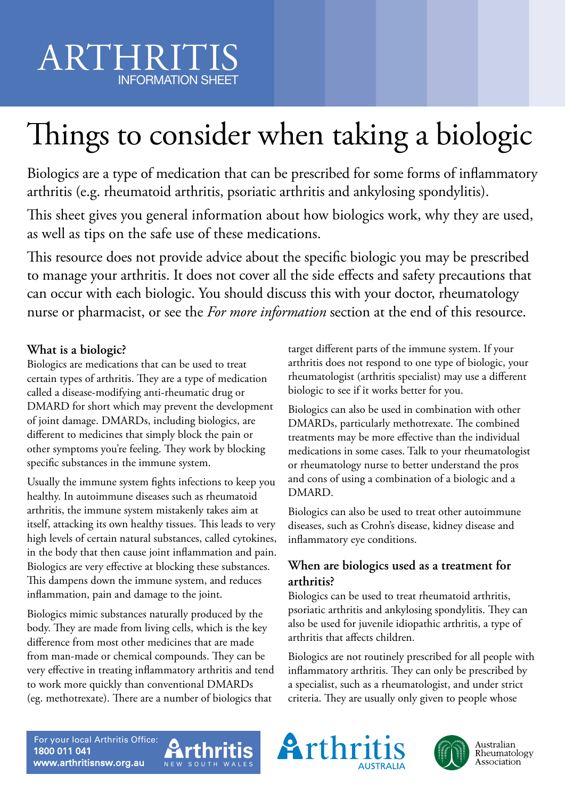# Things to consider when taking a biologic

Biologics are a type of medication that can be prescribed for some forms of inflammatory arthritis (e.g. rheumatoid arthritis, psoriatic arthritis and ankylosing spondylitis).

This sheet gives you general information about how biologics work, why they are used, as well as tips on the safe use of these medications.

This resource does not provide advice about the specific biologic you may be prescribed to manage your arthritis. It does not cover all the side effects and safety precautions that can occur with each biologic. You should discuss this with your doctor, rheumatology nurse or pharmacist, or see the *For more information* section at the end of this resource.

## **What is a biologic?**

Biologics are medications that can be used to treat certain types of arthritis. They are a type of medication called a disease-modifying anti-rheumatic drug or DMARD for short which may prevent the development of joint damage. DMARDs, including biologics, are different to medicines that simply block the pain or other symptoms you're feeling. They work by blocking specific substances in the immune system.

Usually the immune system fights infections to keep you healthy. In autoimmune diseases such as rheumatoid arthritis, the immune system mistakenly takes aim at itself, attacking its own healthy tissues. This leads to very high levels of certain natural substances, called cytokines, in the body that then cause joint inflammation and pain. Biologics are very effective at blocking these substances. This dampens down the immune system, and reduces inflammation, pain and damage to the joint.

Biologics mimic substances naturally produced by the body. They are made from living cells, which is the key difference from most other medicines that are made from man-made or chemical compounds. They can be very effective in treating inflammatory arthritis and tend to work more quickly than conventional DMARDs (eg. methotrexate). There are a number of biologics that

target different parts of the immune system. If your arthritis does not respond to one type of biologic, your rheumatologist (arthritis specialist) may use a different biologic to see if it works better for you.

Biologics can also be used in combination with other DMARDs, particularly methotrexate. The combined treatments may be more effective than the individual medications in some cases. Talk to your rheumatologist or rheumatology nurse to better understand the pros and cons of using a combination of a biologic and a DMARD.

Biologics can also be used to treat other autoimmune diseases, such as Crohn's disease, kidney disease and inflammatory eye conditions.

# **When are biologics used as a treatment for arthritis?**

Biologics can be used to treat rheumatoid arthritis, psoriatic arthritis and ankylosing spondylitis. They can also be used for juvenile idiopathic arthritis, a type of arthritis that affects children.

Biologics are not routinely prescribed for all people with inflammatory arthritis. They can only be prescribed by a specialist, such as a rheumatologist, and under strict criteria. They are usually only given to people whose





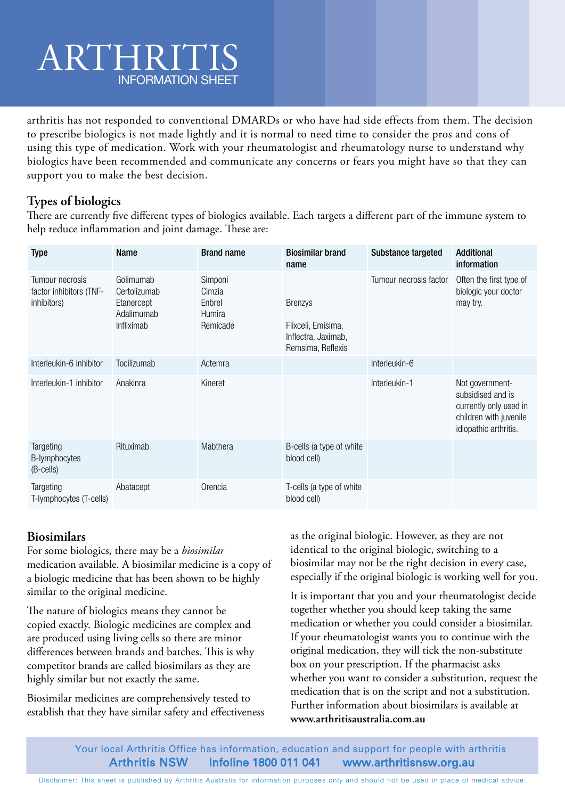arthritis has not responded to conventional DMARDs or who have had side effects from them. The decision to prescribe biologics is not made lightly and it is normal to need time to consider the pros and cons of using this type of medication. Work with your rheumatologist and rheumatology nurse to understand why biologics have been recommended and communicate any concerns or fears you might have so that they can support you to make the best decision.

## **Types of biologics**

There are currently five different types of biologics available. Each targets a different part of the immune system to help reduce inflammation and joint damage. These are:

| <b>Type</b>                                               | <b>Name</b>                                                         | <b>Brand name</b>                                 | <b>Biosimilar brand</b><br>name                                                  | Substance targeted     | <b>Additional</b><br>information                                                                                  |
|-----------------------------------------------------------|---------------------------------------------------------------------|---------------------------------------------------|----------------------------------------------------------------------------------|------------------------|-------------------------------------------------------------------------------------------------------------------|
| Tumour necrosis<br>factor inhibitors (TNF-<br>inhibitors) | Golimumab<br>Certolizumab<br>Etanercept<br>Adalimumab<br>Infliximab | Simponi<br>Cimzia<br>Enbrel<br>Humira<br>Remicade | <b>Brenzys</b><br>Flixceli, Emisima,<br>Inflectra, Jaximab,<br>Remsima, Reflexis | Tumour necrosis factor | Often the first type of<br>biologic your doctor<br>may try.                                                       |
| Interleukin-6 inhibitor                                   | Tocilizumab                                                         | Actemra                                           |                                                                                  | Interleukin-6          |                                                                                                                   |
| Interleukin-1 inhibitor                                   | Anakinra                                                            | Kineret                                           |                                                                                  | Interleukin-1          | Not government-<br>subsidised and is<br>currently only used in<br>children with juvenile<br>idiopathic arthritis. |
| Targeting<br>B-lymphocytes<br>(B-cells)                   | Rituximab                                                           | Mabthera                                          | B-cells (a type of white<br>blood cell)                                          |                        |                                                                                                                   |
| Targeting<br>T-lymphocytes (T-cells)                      | Abatacept                                                           | Orencia                                           | T-cells (a type of white<br>blood cell)                                          |                        |                                                                                                                   |

### **Biosimilars**

For some biologics, there may be a *biosimilar* medication available. A biosimilar medicine is a copy of a biologic medicine that has been shown to be highly similar to the original medicine.

The nature of biologics means they cannot be copied exactly. Biologic medicines are complex and are produced using living cells so there are minor differences between brands and batches. This is why competitor brands are called biosimilars as they are highly similar but not exactly the same.

Biosimilar medicines are comprehensively tested to establish that they have similar safety and effectiveness

as the original biologic. However, as they are not identical to the original biologic, switching to a biosimilar may not be the right decision in every case, especially if the original biologic is working well for you.

It is important that you and your rheumatologist decide together whether you should keep taking the same medication or whether you could consider a biosimilar. If your rheumatologist wants you to continue with the original medication, they will tick the non-substitute box on your prescription. If the pharmacist asks whether you want to consider a substitution, request the medication that is on the script and not a substitution. Further information about biosimilars is available at **www.arthritisaustralia.com.au**

Your local Arthritis Office has information, education and support for people with arthritis Arthritis NSW Infoline 1800 011 041 www.arthritisnsw.org.au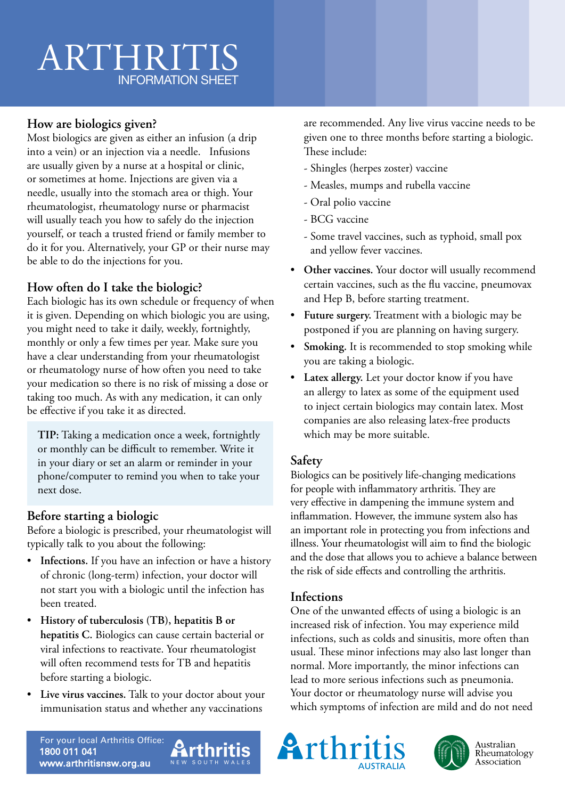## **How are biologics given?**

Most biologics are given as either an infusion (a drip into a vein) or an injection via a needle. Infusions are usually given by a nurse at a hospital or clinic, or sometimes at home. Injections are given via a needle, usually into the stomach area or thigh. Your rheumatologist, rheumatology nurse or pharmacist will usually teach you how to safely do the injection yourself, or teach a trusted friend or family member to do it for you. Alternatively, your GP or their nurse may be able to do the injections for you.

## **How often do I take the biologic?**

Each biologic has its own schedule or frequency of when it is given. Depending on which biologic you are using, you might need to take it daily, weekly, fortnightly, monthly or only a few times per year. Make sure you have a clear understanding from your rheumatologist or rheumatology nurse of how often you need to take your medication so there is no risk of missing a dose or taking too much. As with any medication, it can only be effective if you take it as directed.

**TIP:** Taking a medication once a week, fortnightly or monthly can be difficult to remember. Write it in your diary or set an alarm or reminder in your phone/computer to remind you when to take your next dose.

### **Before starting a biologic**

Before a biologic is prescribed, your rheumatologist will typically talk to you about the following:

- **Infections.** If you have an infection or have a history of chronic (long-term) infection, your doctor will not start you with a biologic until the infection has been treated.
- **History of tuberculosis (TB), hepatitis B or hepatitis C.** Biologics can cause certain bacterial or viral infections to reactivate. Your rheumatologist will often recommend tests for TB and hepatitis before starting a biologic.
- **Live virus vaccines.** Talk to your doctor about your immunisation status and whether any vaccinations

**Arthritis** 

are recommended. Any live virus vaccine needs to be given one to three months before starting a biologic. These include:

- Shingles (herpes zoster) vaccine
- Measles, mumps and rubella vaccine
- Oral polio vaccine
- BCG vaccine
- Some travel vaccines, such as typhoid, small pox and yellow fever vaccines.
- **Other vaccines.** Your doctor will usually recommend certain vaccines, such as the flu vaccine, pneumovax and Hep B, before starting treatment.
- **Future surgery.** Treatment with a biologic may be postponed if you are planning on having surgery.
- **Smoking.** It is recommended to stop smoking while you are taking a biologic.
- **Latex allergy.** Let your doctor know if you have an allergy to latex as some of the equipment used to inject certain biologics may contain latex. Most companies are also releasing latex-free products which may be more suitable.

#### **Safety**

Biologics can be positively life-changing medications for people with inflammatory arthritis. They are very effective in dampening the immune system and inflammation. However, the immune system also has an important role in protecting you from infections and illness. Your rheumatologist will aim to find the biologic and the dose that allows you to achieve a balance between the risk of side effects and controlling the arthritis.

#### **Infections**

One of the unwanted effects of using a biologic is an increased risk of infection. You may experience mild infections, such as colds and sinusitis, more often than usual. These minor infections may also last longer than normal. More importantly, the minor infections can lead to more serious infections such as pneumonia. Your doctor or rheumatology nurse will advise you which symptoms of infection are mild and do not need

For your local Arthritis Office: 1800 011 041 www.arthritisnsw.org.au





Australian Rheumatology Association